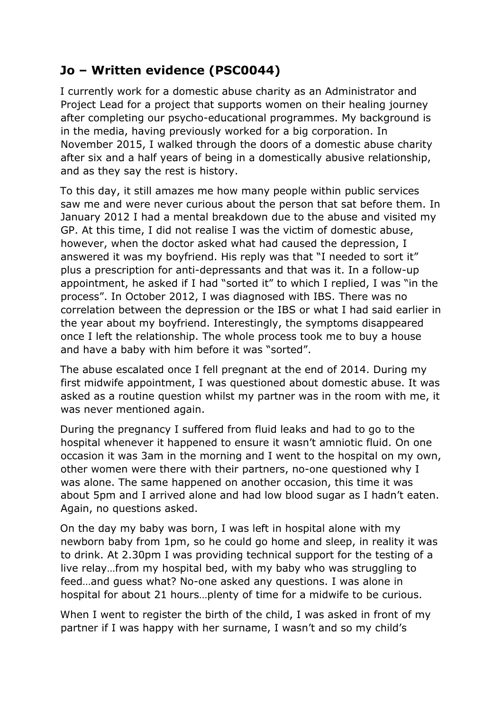## **Jo – Written evidence (PSC0044)**

I currently work for a domestic abuse charity as an Administrator and Project Lead for a project that supports women on their healing journey after completing our psycho-educational programmes. My background is in the media, having previously worked for a big corporation. In November 2015, I walked through the doors of a domestic abuse charity after six and a half years of being in a domestically abusive relationship, and as they say the rest is history.

To this day, it still amazes me how many people within public services saw me and were never curious about the person that sat before them. In January 2012 I had a mental breakdown due to the abuse and visited my GP. At this time, I did not realise I was the victim of domestic abuse, however, when the doctor asked what had caused the depression, I answered it was my boyfriend. His reply was that "I needed to sort it" plus a prescription for anti-depressants and that was it. In a follow-up appointment, he asked if I had "sorted it" to which I replied, I was "in the process". In October 2012, I was diagnosed with IBS. There was no correlation between the depression or the IBS or what I had said earlier in the year about my boyfriend. Interestingly, the symptoms disappeared once I left the relationship. The whole process took me to buy a house and have a baby with him before it was "sorted".

The abuse escalated once I fell pregnant at the end of 2014. During my first midwife appointment, I was questioned about domestic abuse. It was asked as a routine question whilst my partner was in the room with me, it was never mentioned again.

During the pregnancy I suffered from fluid leaks and had to go to the hospital whenever it happened to ensure it wasn't amniotic fluid. On one occasion it was 3am in the morning and I went to the hospital on my own, other women were there with their partners, no-one questioned why I was alone. The same happened on another occasion, this time it was about 5pm and I arrived alone and had low blood sugar as I hadn't eaten. Again, no questions asked.

On the day my baby was born, I was left in hospital alone with my newborn baby from 1pm, so he could go home and sleep, in reality it was to drink. At 2.30pm I was providing technical support for the testing of a live relay…from my hospital bed, with my baby who was struggling to feed…and guess what? No-one asked any questions. I was alone in hospital for about 21 hours…plenty of time for a midwife to be curious.

When I went to register the birth of the child, I was asked in front of my partner if I was happy with her surname, I wasn't and so my child's